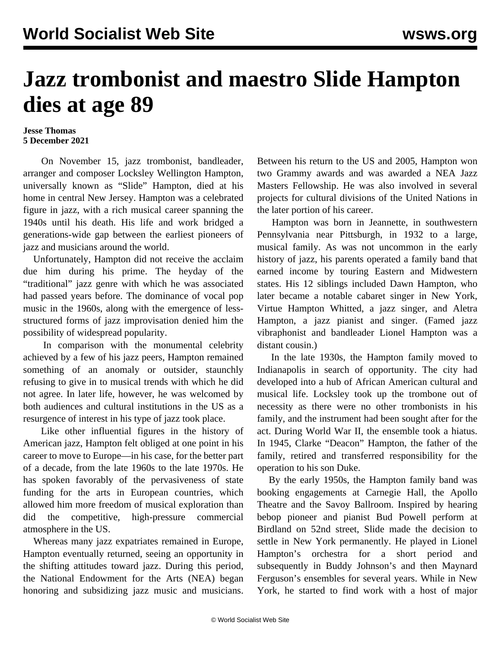## **Jazz trombonist and maestro Slide Hampton dies at age 89**

## **Jesse Thomas 5 December 2021**

 On November 15, jazz trombonist, bandleader, arranger and composer Locksley Wellington Hampton, universally known as "Slide" Hampton, died at his home in central New Jersey. Hampton was a celebrated figure in jazz, with a rich musical career spanning the 1940s until his death. His life and work bridged a generations-wide gap between the earliest pioneers of jazz and musicians around the world.

 Unfortunately, Hampton did not receive the acclaim due him during his prime. The heyday of the "traditional" jazz genre with which he was associated had passed years before. The dominance of vocal pop music in the 1960s, along with the emergence of lessstructured forms of jazz improvisation denied him the possibility of widespread popularity.

 In comparison with the monumental celebrity achieved by a few of his jazz peers, Hampton remained something of an anomaly or outsider, staunchly refusing to give in to musical trends with which he did not agree. In later life, however, he was welcomed by both audiences and cultural institutions in the US as a resurgence of interest in his type of jazz took place.

 Like other influential figures in the history of American jazz, Hampton felt obliged at one point in his career to move to Europe—in his case, for the better part of a decade, from the late 1960s to the late 1970s. He has spoken favorably of the pervasiveness of state funding for the arts in European countries, which allowed him more freedom of musical exploration than did the competitive, high-pressure commercial atmosphere in the US.

 Whereas many jazz expatriates remained in Europe, Hampton eventually returned, seeing an opportunity in the shifting attitudes toward jazz. During this period, the National Endowment for the Arts (NEA) began honoring and subsidizing jazz music and musicians. Between his return to the US and 2005, Hampton won two Grammy awards and was awarded a NEA Jazz Masters Fellowship. He was also involved in several projects for cultural divisions of the United Nations in the later portion of his career.

 Hampton was born in Jeannette, in southwestern Pennsylvania near Pittsburgh, in 1932 to a large, musical family. As was not uncommon in the early history of jazz, his parents operated a family band that earned income by touring Eastern and Midwestern states. His 12 siblings included Dawn Hampton, who later became a notable cabaret singer in New York, Virtue Hampton Whitted, a jazz singer, and Aletra Hampton, a jazz pianist and singer. (Famed jazz vibraphonist and bandleader Lionel Hampton was a distant cousin.)

 In the late 1930s, the Hampton family moved to Indianapolis in search of opportunity. The city had developed into a hub of African American cultural and musical life. Locksley took up the trombone out of necessity as there were no other trombonists in his family, and the instrument had been sought after for the act. During World War II, the ensemble took a hiatus. In 1945, Clarke "Deacon" Hampton, the father of the family, retired and transferred responsibility for the operation to his son Duke.

 By the early 1950s, the Hampton family band was booking engagements at Carnegie Hall, the Apollo Theatre and the Savoy Ballroom. Inspired by hearing bebop pioneer and pianist Bud Powell perform at Birdland on 52nd street, Slide made the decision to settle in New York permanently. He played in Lionel Hampton's orchestra for a short period and subsequently in Buddy Johnson's and then Maynard Ferguson's ensembles for several years. While in New York, he started to find work with a host of major